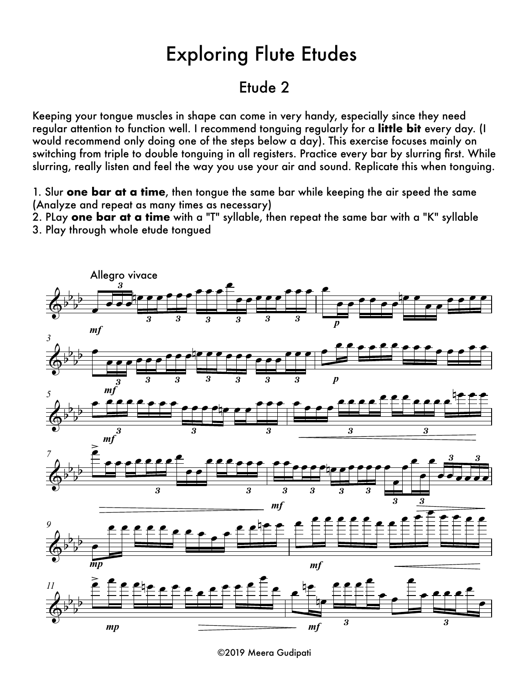## Exploring Flute Etudes

## Etude 2 2

Keeping your tongue muscles in shape can come in very handy, especially since they need regular attention to function well. <sup>I</sup> recommend tonguing regularly for <sup>a</sup> **little bit** every day. (I would recommend only doing one of the steps below aday). This exercise focuses mainly on woold recommend omy doing one of the steps below a day). This excretse recesses manny on<br>switching from triple to double tonguing in all registers. Practice every bar by slurring first. While switching from inpid to abobic longuing in air registors: Frachco every bar by sicrinig insit wring.<br>slurring, really listen and feel the way you use your air and sound. Replicate this when tonguing.

1. Slur **one bar at <sup>a</sup> time**, then tongue the same bar while keeping the air speed the same (Analyze and repeat as many times as necessary)

2. PLay **one bar at <sup>a</sup> time** with <sup>a</sup> "T" syllable, then repeat the same bar with <sup>a</sup> "K" syllable 2. Play **once but at a nine** will a respiration.<br>3. Play through whole etude tongued



©2019 Meera Gudipati